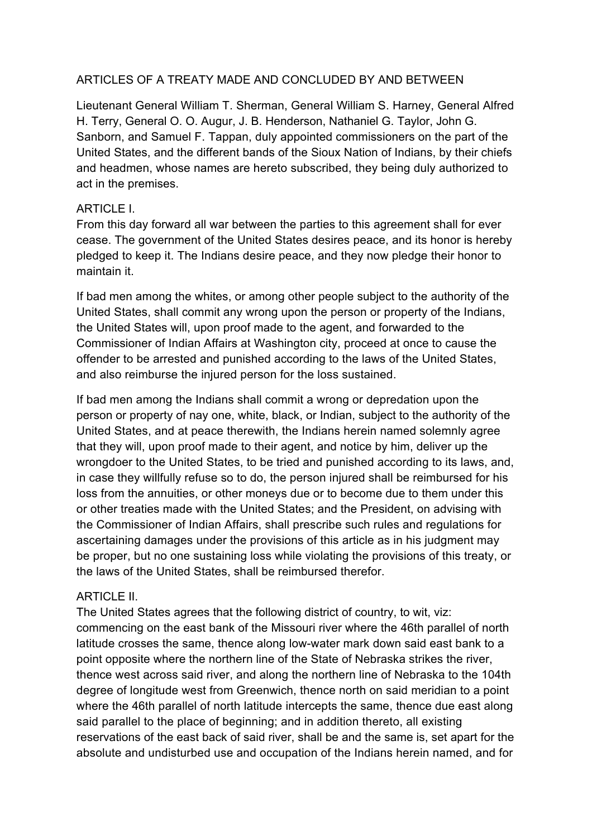#### ARTICLES OF A TREATY MADE AND CONCLUDED BY AND BETWEEN

Lieutenant General William T. Sherman, General William S. Harney, General Alfred H. Terry, General O. O. Augur, J. B. Henderson, Nathaniel G. Taylor, John G. Sanborn, and Samuel F. Tappan, duly appointed commissioners on the part of the United States, and the different bands of the Sioux Nation of Indians, by their chiefs and headmen, whose names are hereto subscribed, they being duly authorized to act in the premises.

## ARTICLE I.

From this day forward all war between the parties to this agreement shall for ever cease. The government of the United States desires peace, and its honor is hereby pledged to keep it. The Indians desire peace, and they now pledge their honor to maintain it.

If bad men among the whites, or among other people subject to the authority of the United States, shall commit any wrong upon the person or property of the Indians, the United States will, upon proof made to the agent, and forwarded to the Commissioner of Indian Affairs at Washington city, proceed at once to cause the offender to be arrested and punished according to the laws of the United States, and also reimburse the injured person for the loss sustained.

If bad men among the Indians shall commit a wrong or depredation upon the person or property of nay one, white, black, or Indian, subject to the authority of the United States, and at peace therewith, the Indians herein named solemnly agree that they will, upon proof made to their agent, and notice by him, deliver up the wrongdoer to the United States, to be tried and punished according to its laws, and, in case they willfully refuse so to do, the person injured shall be reimbursed for his loss from the annuities, or other moneys due or to become due to them under this or other treaties made with the United States; and the President, on advising with the Commissioner of Indian Affairs, shall prescribe such rules and regulations for ascertaining damages under the provisions of this article as in his judgment may be proper, but no one sustaining loss while violating the provisions of this treaty, or the laws of the United States, shall be reimbursed therefor.

#### ARTICLE II.

The United States agrees that the following district of country, to wit, viz: commencing on the east bank of the Missouri river where the 46th parallel of north latitude crosses the same, thence along low-water mark down said east bank to a point opposite where the northern line of the State of Nebraska strikes the river, thence west across said river, and along the northern line of Nebraska to the 104th degree of longitude west from Greenwich, thence north on said meridian to a point where the 46th parallel of north latitude intercepts the same, thence due east along said parallel to the place of beginning; and in addition thereto, all existing reservations of the east back of said river, shall be and the same is, set apart for the absolute and undisturbed use and occupation of the Indians herein named, and for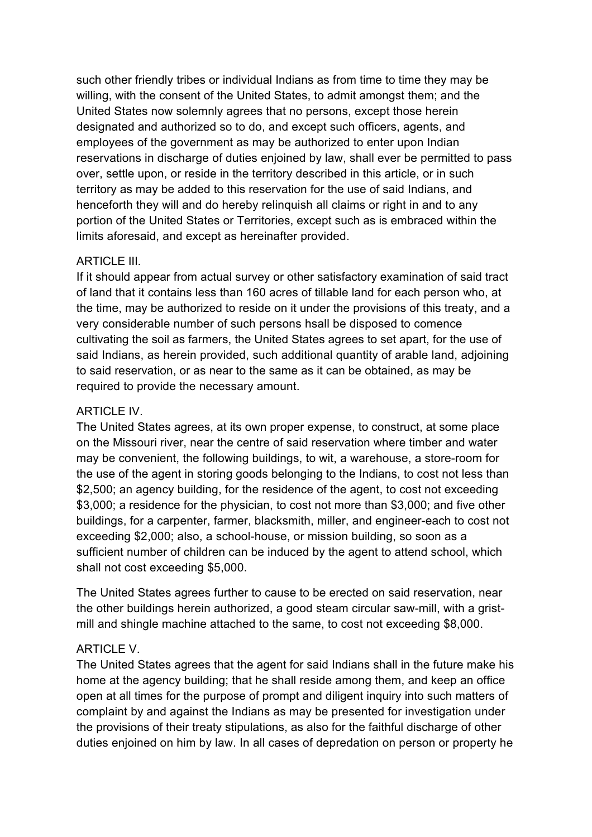such other friendly tribes or individual Indians as from time to time they may be willing, with the consent of the United States, to admit amongst them; and the United States now solemnly agrees that no persons, except those herein designated and authorized so to do, and except such officers, agents, and employees of the government as may be authorized to enter upon Indian reservations in discharge of duties enjoined by law, shall ever be permitted to pass over, settle upon, or reside in the territory described in this article, or in such territory as may be added to this reservation for the use of said Indians, and henceforth they will and do hereby relinquish all claims or right in and to any portion of the United States or Territories, except such as is embraced within the limits aforesaid, and except as hereinafter provided.

### ARTICLE III.

If it should appear from actual survey or other satisfactory examination of said tract of land that it contains less than 160 acres of tillable land for each person who, at the time, may be authorized to reside on it under the provisions of this treaty, and a very considerable number of such persons hsall be disposed to comence cultivating the soil as farmers, the United States agrees to set apart, for the use of said Indians, as herein provided, such additional quantity of arable land, adjoining to said reservation, or as near to the same as it can be obtained, as may be required to provide the necessary amount.

## ARTICLE IV.

The United States agrees, at its own proper expense, to construct, at some place on the Missouri river, near the centre of said reservation where timber and water may be convenient, the following buildings, to wit, a warehouse, a store-room for the use of the agent in storing goods belonging to the Indians, to cost not less than \$2,500; an agency building, for the residence of the agent, to cost not exceeding \$3,000; a residence for the physician, to cost not more than \$3,000; and five other buildings, for a carpenter, farmer, blacksmith, miller, and engineer-each to cost not exceeding \$2,000; also, a school-house, or mission building, so soon as a sufficient number of children can be induced by the agent to attend school, which shall not cost exceeding \$5,000.

The United States agrees further to cause to be erected on said reservation, near the other buildings herein authorized, a good steam circular saw-mill, with a gristmill and shingle machine attached to the same, to cost not exceeding \$8,000.

#### ARTICLE V.

The United States agrees that the agent for said Indians shall in the future make his home at the agency building; that he shall reside among them, and keep an office open at all times for the purpose of prompt and diligent inquiry into such matters of complaint by and against the Indians as may be presented for investigation under the provisions of their treaty stipulations, as also for the faithful discharge of other duties enjoined on him by law. In all cases of depredation on person or property he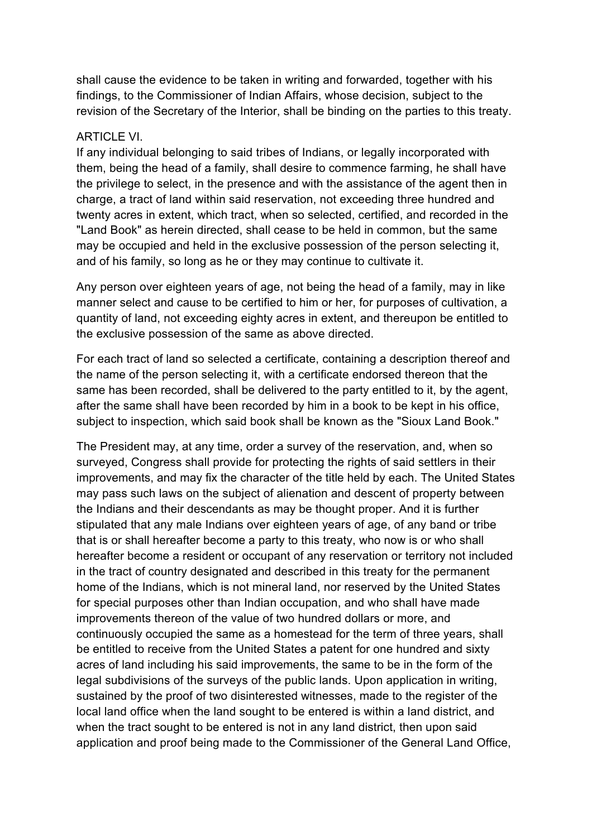shall cause the evidence to be taken in writing and forwarded, together with his findings, to the Commissioner of Indian Affairs, whose decision, subject to the revision of the Secretary of the Interior, shall be binding on the parties to this treaty.

#### ARTICLE VI.

If any individual belonging to said tribes of Indians, or legally incorporated with them, being the head of a family, shall desire to commence farming, he shall have the privilege to select, in the presence and with the assistance of the agent then in charge, a tract of land within said reservation, not exceeding three hundred and twenty acres in extent, which tract, when so selected, certified, and recorded in the "Land Book" as herein directed, shall cease to be held in common, but the same may be occupied and held in the exclusive possession of the person selecting it, and of his family, so long as he or they may continue to cultivate it.

Any person over eighteen years of age, not being the head of a family, may in like manner select and cause to be certified to him or her, for purposes of cultivation, a quantity of land, not exceeding eighty acres in extent, and thereupon be entitled to the exclusive possession of the same as above directed.

For each tract of land so selected a certificate, containing a description thereof and the name of the person selecting it, with a certificate endorsed thereon that the same has been recorded, shall be delivered to the party entitled to it, by the agent, after the same shall have been recorded by him in a book to be kept in his office, subject to inspection, which said book shall be known as the "Sioux Land Book."

The President may, at any time, order a survey of the reservation, and, when so surveyed, Congress shall provide for protecting the rights of said settlers in their improvements, and may fix the character of the title held by each. The United States may pass such laws on the subject of alienation and descent of property between the Indians and their descendants as may be thought proper. And it is further stipulated that any male Indians over eighteen years of age, of any band or tribe that is or shall hereafter become a party to this treaty, who now is or who shall hereafter become a resident or occupant of any reservation or territory not included in the tract of country designated and described in this treaty for the permanent home of the Indians, which is not mineral land, nor reserved by the United States for special purposes other than Indian occupation, and who shall have made improvements thereon of the value of two hundred dollars or more, and continuously occupied the same as a homestead for the term of three years, shall be entitled to receive from the United States a patent for one hundred and sixty acres of land including his said improvements, the same to be in the form of the legal subdivisions of the surveys of the public lands. Upon application in writing, sustained by the proof of two disinterested witnesses, made to the register of the local land office when the land sought to be entered is within a land district, and when the tract sought to be entered is not in any land district, then upon said application and proof being made to the Commissioner of the General Land Office,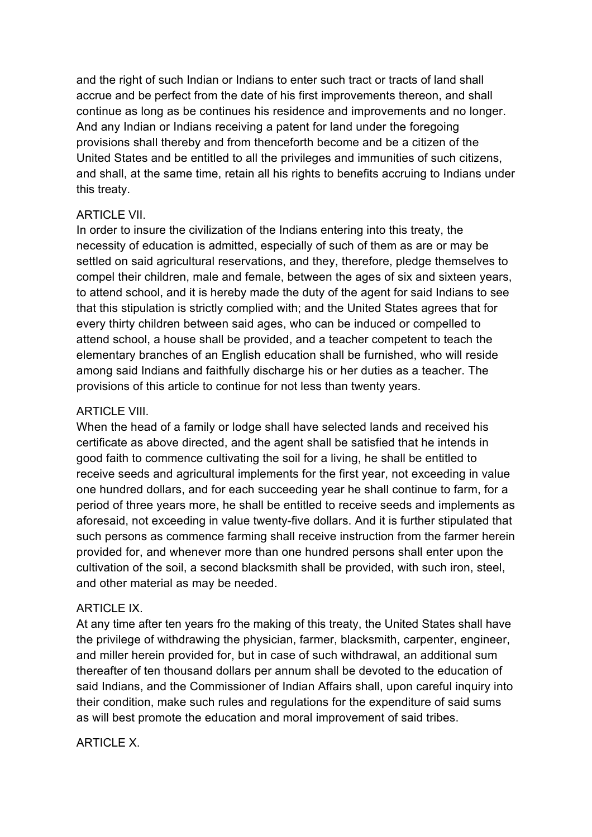and the right of such Indian or Indians to enter such tract or tracts of land shall accrue and be perfect from the date of his first improvements thereon, and shall continue as long as be continues his residence and improvements and no longer. And any Indian or Indians receiving a patent for land under the foregoing provisions shall thereby and from thenceforth become and be a citizen of the United States and be entitled to all the privileges and immunities of such citizens, and shall, at the same time, retain all his rights to benefits accruing to Indians under this treaty.

### ARTICLE VII.

In order to insure the civilization of the Indians entering into this treaty, the necessity of education is admitted, especially of such of them as are or may be settled on said agricultural reservations, and they, therefore, pledge themselves to compel their children, male and female, between the ages of six and sixteen years, to attend school, and it is hereby made the duty of the agent for said Indians to see that this stipulation is strictly complied with; and the United States agrees that for every thirty children between said ages, who can be induced or compelled to attend school, a house shall be provided, and a teacher competent to teach the elementary branches of an English education shall be furnished, who will reside among said Indians and faithfully discharge his or her duties as a teacher. The provisions of this article to continue for not less than twenty years.

## ARTICLE VIII.

When the head of a family or lodge shall have selected lands and received his certificate as above directed, and the agent shall be satisfied that he intends in good faith to commence cultivating the soil for a living, he shall be entitled to receive seeds and agricultural implements for the first year, not exceeding in value one hundred dollars, and for each succeeding year he shall continue to farm, for a period of three years more, he shall be entitled to receive seeds and implements as aforesaid, not exceeding in value twenty-five dollars. And it is further stipulated that such persons as commence farming shall receive instruction from the farmer herein provided for, and whenever more than one hundred persons shall enter upon the cultivation of the soil, a second blacksmith shall be provided, with such iron, steel, and other material as may be needed.

# **ARTICLE IX.**

At any time after ten years fro the making of this treaty, the United States shall have the privilege of withdrawing the physician, farmer, blacksmith, carpenter, engineer, and miller herein provided for, but in case of such withdrawal, an additional sum thereafter of ten thousand dollars per annum shall be devoted to the education of said Indians, and the Commissioner of Indian Affairs shall, upon careful inquiry into their condition, make such rules and regulations for the expenditure of said sums as will best promote the education and moral improvement of said tribes.

#### ARTICLE X.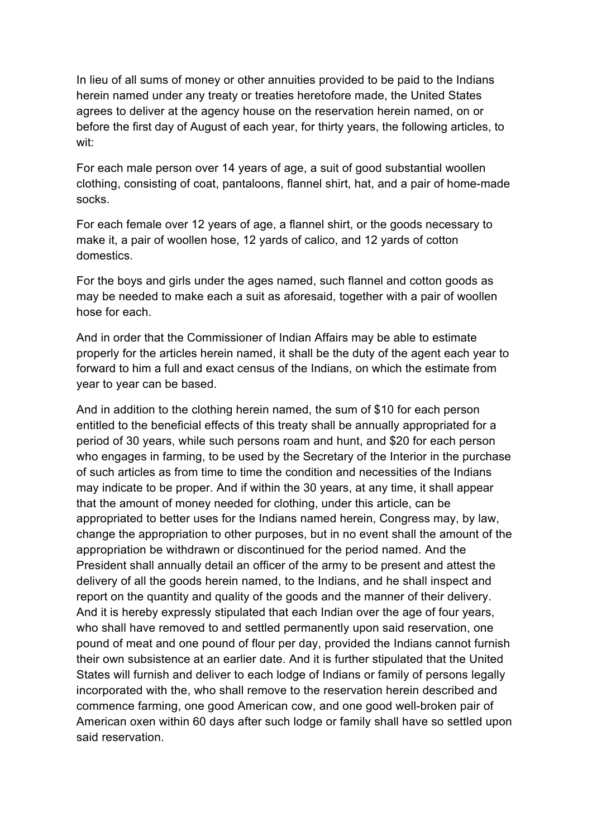In lieu of all sums of money or other annuities provided to be paid to the Indians herein named under any treaty or treaties heretofore made, the United States agrees to deliver at the agency house on the reservation herein named, on or before the first day of August of each year, for thirty years, the following articles, to wit:

For each male person over 14 years of age, a suit of good substantial woollen clothing, consisting of coat, pantaloons, flannel shirt, hat, and a pair of home-made socks.

For each female over 12 years of age, a flannel shirt, or the goods necessary to make it, a pair of woollen hose, 12 yards of calico, and 12 yards of cotton domestics.

For the boys and girls under the ages named, such flannel and cotton goods as may be needed to make each a suit as aforesaid, together with a pair of woollen hose for each.

And in order that the Commissioner of Indian Affairs may be able to estimate properly for the articles herein named, it shall be the duty of the agent each year to forward to him a full and exact census of the Indians, on which the estimate from year to year can be based.

And in addition to the clothing herein named, the sum of \$10 for each person entitled to the beneficial effects of this treaty shall be annually appropriated for a period of 30 years, while such persons roam and hunt, and \$20 for each person who engages in farming, to be used by the Secretary of the Interior in the purchase of such articles as from time to time the condition and necessities of the Indians may indicate to be proper. And if within the 30 years, at any time, it shall appear that the amount of money needed for clothing, under this article, can be appropriated to better uses for the Indians named herein, Congress may, by law, change the appropriation to other purposes, but in no event shall the amount of the appropriation be withdrawn or discontinued for the period named. And the President shall annually detail an officer of the army to be present and attest the delivery of all the goods herein named, to the Indians, and he shall inspect and report on the quantity and quality of the goods and the manner of their delivery. And it is hereby expressly stipulated that each Indian over the age of four years, who shall have removed to and settled permanently upon said reservation, one pound of meat and one pound of flour per day, provided the Indians cannot furnish their own subsistence at an earlier date. And it is further stipulated that the United States will furnish and deliver to each lodge of Indians or family of persons legally incorporated with the, who shall remove to the reservation herein described and commence farming, one good American cow, and one good well-broken pair of American oxen within 60 days after such lodge or family shall have so settled upon said reservation.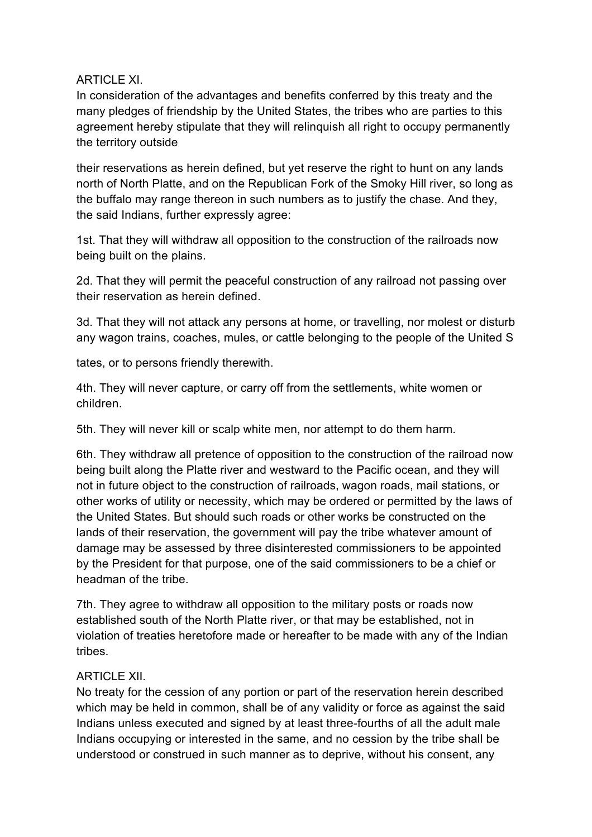### ARTICLE XI.

In consideration of the advantages and benefits conferred by this treaty and the many pledges of friendship by the United States, the tribes who are parties to this agreement hereby stipulate that they will relinquish all right to occupy permanently the territory outside

their reservations as herein defined, but yet reserve the right to hunt on any lands north of North Platte, and on the Republican Fork of the Smoky Hill river, so long as the buffalo may range thereon in such numbers as to justify the chase. And they, the said Indians, further expressly agree:

1st. That they will withdraw all opposition to the construction of the railroads now being built on the plains.

2d. That they will permit the peaceful construction of any railroad not passing over their reservation as herein defined.

3d. That they will not attack any persons at home, or travelling, nor molest or disturb any wagon trains, coaches, mules, or cattle belonging to the people of the United S

tates, or to persons friendly therewith.

4th. They will never capture, or carry off from the settlements, white women or children.

5th. They will never kill or scalp white men, nor attempt to do them harm.

6th. They withdraw all pretence of opposition to the construction of the railroad now being built along the Platte river and westward to the Pacific ocean, and they will not in future object to the construction of railroads, wagon roads, mail stations, or other works of utility or necessity, which may be ordered or permitted by the laws of the United States. But should such roads or other works be constructed on the lands of their reservation, the government will pay the tribe whatever amount of damage may be assessed by three disinterested commissioners to be appointed by the President for that purpose, one of the said commissioners to be a chief or headman of the tribe.

7th. They agree to withdraw all opposition to the military posts or roads now established south of the North Platte river, or that may be established, not in violation of treaties heretofore made or hereafter to be made with any of the Indian tribes.

# ARTICLE XII.

No treaty for the cession of any portion or part of the reservation herein described which may be held in common, shall be of any validity or force as against the said Indians unless executed and signed by at least three-fourths of all the adult male Indians occupying or interested in the same, and no cession by the tribe shall be understood or construed in such manner as to deprive, without his consent, any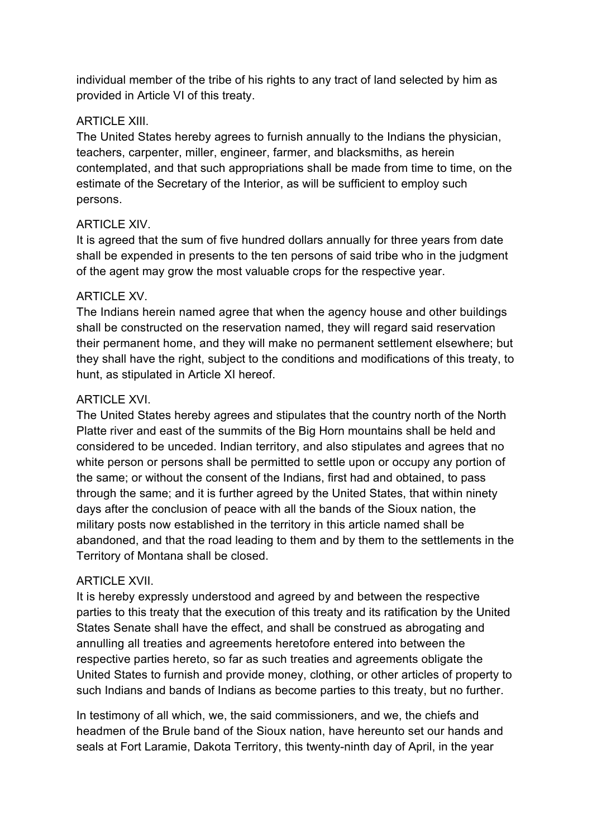individual member of the tribe of his rights to any tract of land selected by him as provided in Article VI of this treaty.

## ARTICLE XIII.

The United States hereby agrees to furnish annually to the Indians the physician, teachers, carpenter, miller, engineer, farmer, and blacksmiths, as herein contemplated, and that such appropriations shall be made from time to time, on the estimate of the Secretary of the Interior, as will be sufficient to employ such persons.

# ARTICLE XIV.

It is agreed that the sum of five hundred dollars annually for three years from date shall be expended in presents to the ten persons of said tribe who in the judgment of the agent may grow the most valuable crops for the respective year.

# ARTICLE XV.

The Indians herein named agree that when the agency house and other buildings shall be constructed on the reservation named, they will regard said reservation their permanent home, and they will make no permanent settlement elsewhere; but they shall have the right, subject to the conditions and modifications of this treaty, to hunt, as stipulated in Article XI hereof.

# ARTICLE XVI.

The United States hereby agrees and stipulates that the country north of the North Platte river and east of the summits of the Big Horn mountains shall be held and considered to be unceded. Indian territory, and also stipulates and agrees that no white person or persons shall be permitted to settle upon or occupy any portion of the same; or without the consent of the Indians, first had and obtained, to pass through the same; and it is further agreed by the United States, that within ninety days after the conclusion of peace with all the bands of the Sioux nation, the military posts now established in the territory in this article named shall be abandoned, and that the road leading to them and by them to the settlements in the Territory of Montana shall be closed.

# ARTICLE XVII.

It is hereby expressly understood and agreed by and between the respective parties to this treaty that the execution of this treaty and its ratification by the United States Senate shall have the effect, and shall be construed as abrogating and annulling all treaties and agreements heretofore entered into between the respective parties hereto, so far as such treaties and agreements obligate the United States to furnish and provide money, clothing, or other articles of property to such Indians and bands of Indians as become parties to this treaty, but no further.

In testimony of all which, we, the said commissioners, and we, the chiefs and headmen of the Brule band of the Sioux nation, have hereunto set our hands and seals at Fort Laramie, Dakota Territory, this twenty-ninth day of April, in the year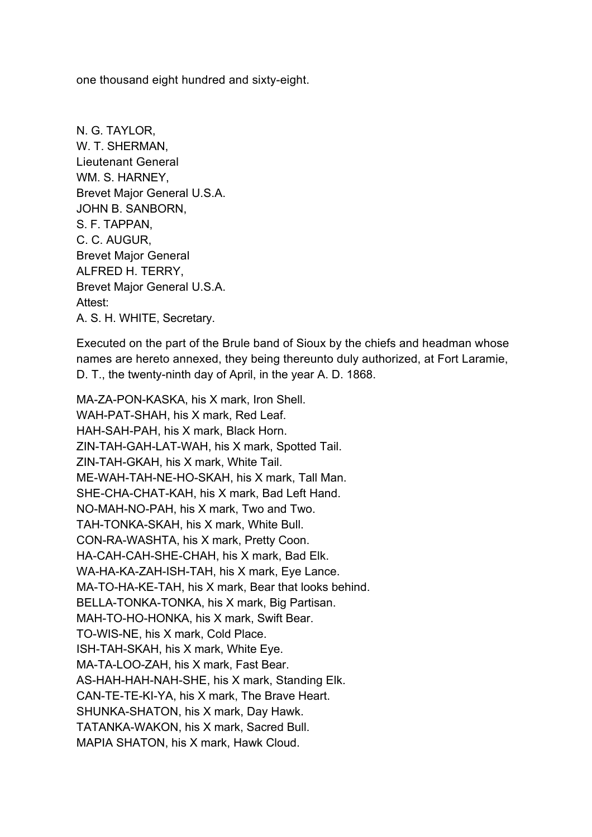one thousand eight hundred and sixty-eight.

N. G. TAYLOR, W. T. SHERMAN, Lieutenant General WM. S. HARNEY, Brevet Major General U.S.A. JOHN B. SANBORN, S. F. TAPPAN, C. C. AUGUR, Brevet Major General ALFRED H. TERRY, Brevet Major General U.S.A. Attest: A. S. H. WHITE, Secretary.

Executed on the part of the Brule band of Sioux by the chiefs and headman whose names are hereto annexed, they being thereunto duly authorized, at Fort Laramie, D. T., the twenty-ninth day of April, in the year A. D. 1868.

MA-ZA-PON-KASKA, his X mark, Iron Shell. WAH-PAT-SHAH, his X mark, Red Leaf. HAH-SAH-PAH, his X mark, Black Horn. ZIN-TAH-GAH-LAT-WAH, his X mark, Spotted Tail. ZIN-TAH-GKAH, his X mark, White Tail. ME-WAH-TAH-NE-HO-SKAH, his X mark, Tall Man. SHE-CHA-CHAT-KAH, his X mark, Bad Left Hand. NO-MAH-NO-PAH, his X mark, Two and Two. TAH-TONKA-SKAH, his X mark, White Bull. CON-RA-WASHTA, his X mark, Pretty Coon. HA-CAH-CAH-SHE-CHAH, his X mark, Bad Elk. WA-HA-KA-ZAH-ISH-TAH, his X mark, Eye Lance. MA-TO-HA-KE-TAH, his X mark, Bear that looks behind. BELLA-TONKA-TONKA, his X mark, Big Partisan. MAH-TO-HO-HONKA, his X mark, Swift Bear. TO-WIS-NE, his X mark, Cold Place. ISH-TAH-SKAH, his X mark, White Eye. MA-TA-LOO-ZAH, his X mark, Fast Bear. AS-HAH-HAH-NAH-SHE, his X mark, Standing Elk. CAN-TE-TE-KI-YA, his X mark, The Brave Heart. SHUNKA-SHATON, his X mark, Day Hawk. TATANKA-WAKON, his X mark, Sacred Bull. MAPIA SHATON, his X mark, Hawk Cloud.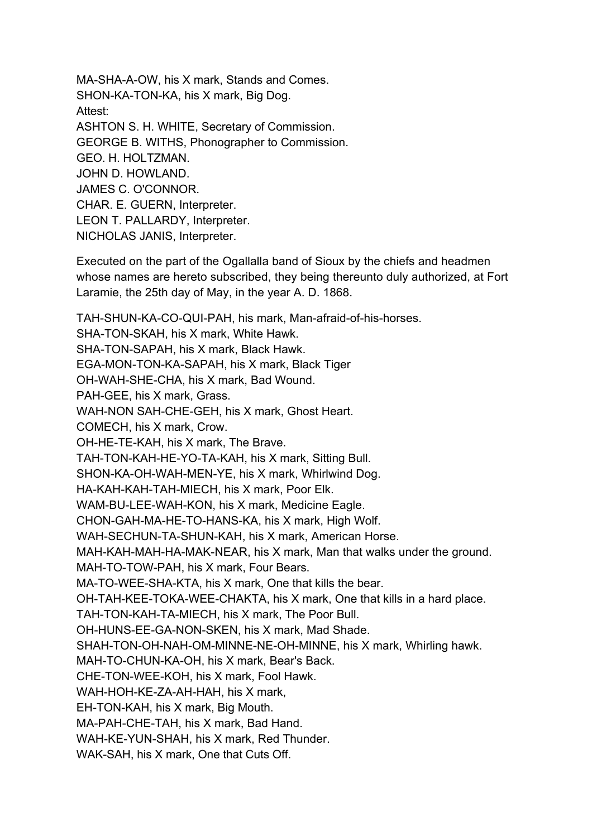MA-SHA-A-OW, his X mark, Stands and Comes. SHON-KA-TON-KA, his X mark, Big Dog. Attest: ASHTON S. H. WHITE, Secretary of Commission. GEORGE B. WITHS, Phonographer to Commission. GEO. H. HOLTZMAN. JOHN D. HOWLAND. JAMES C. O'CONNOR. CHAR. E. GUERN, Interpreter. LEON T. PALLARDY, Interpreter. NICHOLAS JANIS, Interpreter.

Executed on the part of the Ogallalla band of Sioux by the chiefs and headmen whose names are hereto subscribed, they being thereunto duly authorized, at Fort Laramie, the 25th day of May, in the year A. D. 1868.

TAH-SHUN-KA-CO-QUI-PAH, his mark, Man-afraid-of-his-horses. SHA-TON-SKAH, his X mark, White Hawk. SHA-TON-SAPAH, his X mark, Black Hawk. EGA-MON-TON-KA-SAPAH, his X mark, Black Tiger OH-WAH-SHE-CHA, his X mark, Bad Wound. PAH-GEE, his X mark, Grass. WAH-NON SAH-CHE-GEH, his X mark, Ghost Heart. COMECH, his X mark, Crow. OH-HE-TE-KAH, his X mark, The Brave. TAH-TON-KAH-HE-YO-TA-KAH, his X mark, Sitting Bull. SHON-KA-OH-WAH-MEN-YE, his X mark, Whirlwind Dog. HA-KAH-KAH-TAH-MIECH, his X mark, Poor Elk. WAM-BU-LEE-WAH-KON, his X mark, Medicine Eagle. CHON-GAH-MA-HE-TO-HANS-KA, his X mark, High Wolf. WAH-SECHUN-TA-SHUN-KAH, his X mark, American Horse. MAH-KAH-MAH-HA-MAK-NEAR, his X mark, Man that walks under the ground. MAH-TO-TOW-PAH, his X mark, Four Bears. MA-TO-WEE-SHA-KTA, his X mark, One that kills the bear. OH-TAH-KEE-TOKA-WEE-CHAKTA, his X mark, One that kills in a hard place. TAH-TON-KAH-TA-MIECH, his X mark, The Poor Bull. OH-HUNS-EE-GA-NON-SKEN, his X mark, Mad Shade. SHAH-TON-OH-NAH-OM-MINNE-NE-OH-MINNE, his X mark, Whirling hawk. MAH-TO-CHUN-KA-OH, his X mark, Bear's Back. CHE-TON-WEE-KOH, his X mark, Fool Hawk. WAH-HOH-KE-ZA-AH-HAH, his X mark, EH-TON-KAH, his X mark, Big Mouth. MA-PAH-CHE-TAH, his X mark, Bad Hand. WAH-KE-YUN-SHAH, his X mark, Red Thunder. WAK-SAH, his X mark, One that Cuts Off.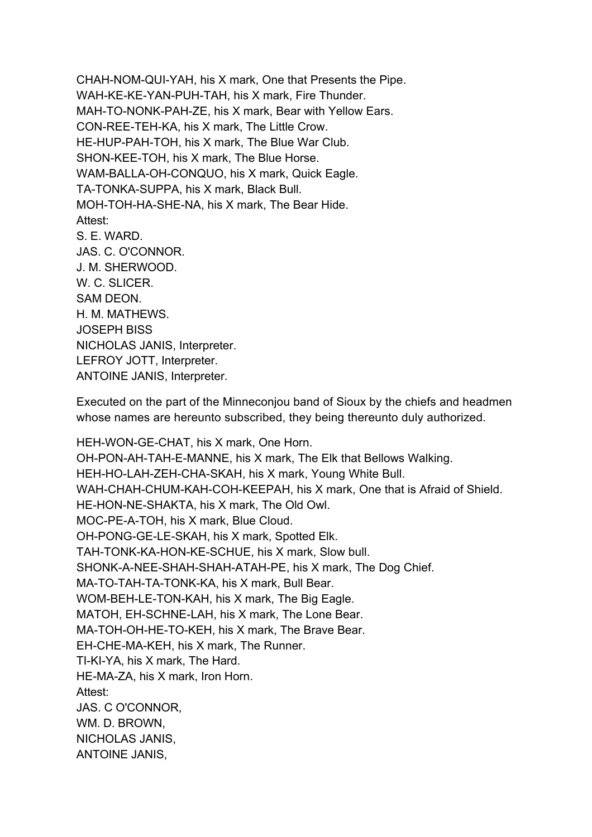CHAH-NOM-QUI-YAH, his X mark, One that Presents the Pipe. WAH-KE-KE-YAN-PUH-TAH, his X mark, Fire Thunder. MAH-TO-NONK-PAH-ZE, his X mark, Bear with Yellow Ears. CON-REE-TEH-KA, his X mark, The Little Crow. HE-HUP-PAH-TOH, his X mark, The Blue War Club. SHON-KEE-TOH, his X mark, The Blue Horse. WAM-BALLA-OH-CONQUO, his X mark, Quick Eagle. TA-TONKA-SUPPA, his X mark, Black Bull. MOH-TOH-HA-SHE-NA, his X mark, The Bear Hide. Attest: S. E. WARD. JAS. C. O'CONNOR. J. M. SHERWOOD. W. C. SLICER. SAM DEON. H. M. MATHEWS. JOSEPH BISS NICHOLAS JANIS, Interpreter. LEFROY JOTT, Interpreter. ANTOINE JANIS, Interpreter.

Executed on the part of the Minneconjou band of Sioux by the chiefs and headmen whose names are hereunto subscribed, they being thereunto duly authorized.

HEH-WON-GE-CHAT, his X mark, One Horn. OH-PON-AH-TAH-E-MANNE, his X mark, The Elk that Bellows Walking. HEH-HO-LAH-ZEH-CHA-SKAH, his X mark, Young White Bull. WAH-CHAH-CHUM-KAH-COH-KEEPAH, his X mark, One that is Afraid of Shield. HE-HON-NE-SHAKTA, his X mark, The Old Owl. MOC-PE-A-TOH, his X mark, Blue Cloud. OH-PONG-GE-LE-SKAH, his X mark, Spotted Elk. TAH-TONK-KA-HON-KE-SCHUE, his X mark, Slow bull. SHONK-A-NEE-SHAH-SHAH-ATAH-PE, his X mark, The Dog Chief. MA-TO-TAH-TA-TONK-KA, his X mark, Bull Bear. WOM-BEH-LE-TON-KAH, his X mark, The Big Eagle. MATOH, EH-SCHNE-LAH, his X mark, The Lone Bear. MA-TOH-OH-HE-TO-KEH, his X mark, The Brave Bear. EH-CHE-MA-KEH, his X mark, The Runner. TI-KI-YA, his X mark, The Hard. HE-MA-ZA, his X mark, Iron Horn. Attest: JAS. C O'CONNOR, WM. D. BROWN, NICHOLAS JANIS, ANTOINE JANIS,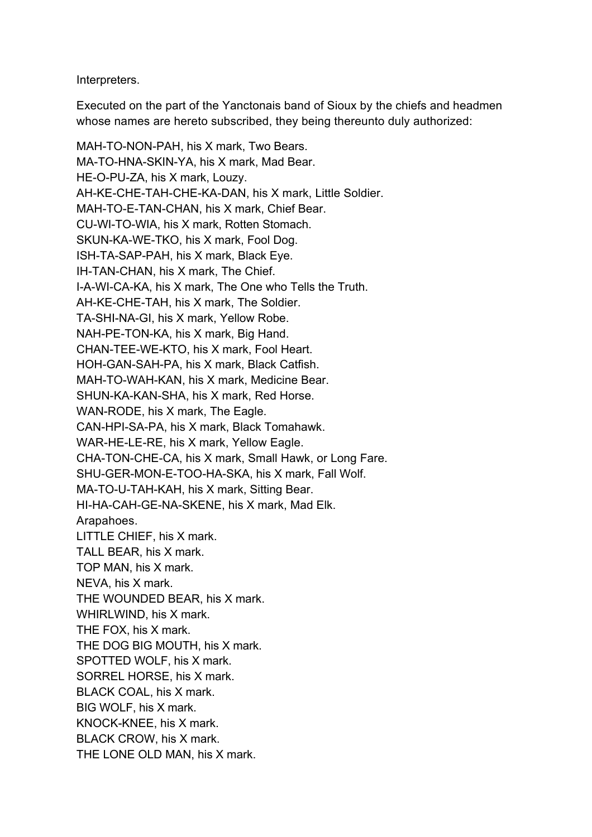Interpreters.

Executed on the part of the Yanctonais band of Sioux by the chiefs and headmen whose names are hereto subscribed, they being thereunto duly authorized:

MAH-TO-NON-PAH, his X mark, Two Bears. MA-TO-HNA-SKIN-YA, his X mark, Mad Bear. HE-O-PU-ZA, his X mark, Louzy. AH-KE-CHE-TAH-CHE-KA-DAN, his X mark, Little Soldier. MAH-TO-E-TAN-CHAN, his X mark, Chief Bear. CU-WI-TO-WIA, his X mark, Rotten Stomach. SKUN-KA-WE-TKO, his X mark, Fool Dog. ISH-TA-SAP-PAH, his X mark, Black Eye. IH-TAN-CHAN, his X mark, The Chief. I-A-WI-CA-KA, his X mark, The One who Tells the Truth. AH-KE-CHE-TAH, his X mark, The Soldier. TA-SHI-NA-GI, his X mark, Yellow Robe. NAH-PE-TON-KA, his X mark, Big Hand. CHAN-TEE-WE-KTO, his X mark, Fool Heart. HOH-GAN-SAH-PA, his X mark, Black Catfish. MAH-TO-WAH-KAN, his X mark, Medicine Bear. SHUN-KA-KAN-SHA, his X mark, Red Horse. WAN-RODE, his X mark, The Eagle. CAN-HPI-SA-PA, his X mark, Black Tomahawk. WAR-HE-LE-RE, his X mark, Yellow Eagle. CHA-TON-CHE-CA, his X mark, Small Hawk, or Long Fare. SHU-GER-MON-E-TOO-HA-SKA, his X mark, Fall Wolf. MA-TO-U-TAH-KAH, his X mark, Sitting Bear. HI-HA-CAH-GE-NA-SKENE, his X mark, Mad Elk. Arapahoes. LITTLE CHIEF, his X mark. TALL BEAR, his X mark. TOP MAN, his X mark. NEVA, his X mark. THE WOUNDED BEAR, his X mark. WHIRLWIND, his X mark. THE FOX, his X mark. THE DOG BIG MOUTH, his X mark. SPOTTED WOLF, his X mark. SORREL HORSE, his X mark. BLACK COAL, his X mark. BIG WOLF, his X mark. KNOCK-KNEE, his X mark. BLACK CROW, his X mark. THE LONE OLD MAN, his X mark.